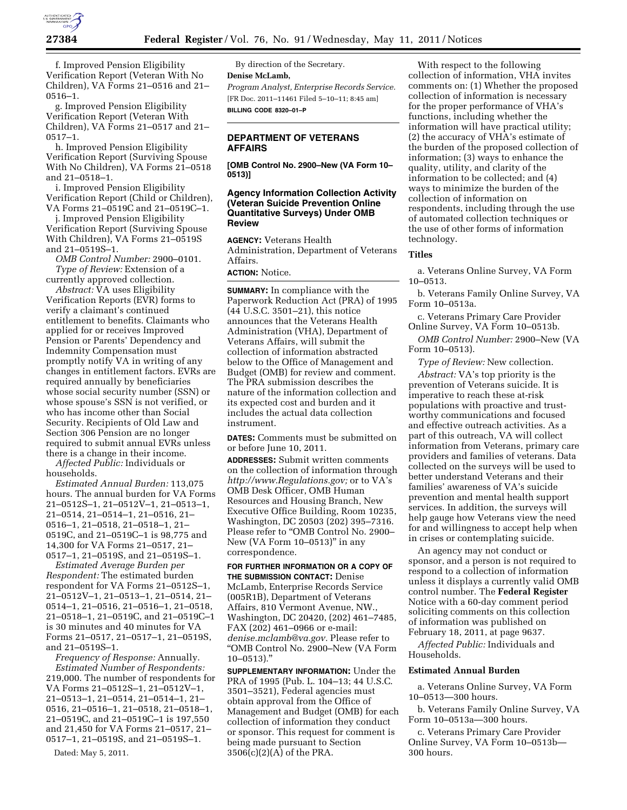

f. Improved Pension Eligibility Verification Report (Veteran With No Children), VA Forms 21–0516 and 21– 0516–1.

g. Improved Pension Eligibility Verification Report (Veteran With Children), VA Forms 21–0517 and 21– 0517–1.

h. Improved Pension Eligibility Verification Report (Surviving Spouse With No Children), VA Forms 21–0518 and 21–0518–1.

i. Improved Pension Eligibility Verification Report (Child or Children), VA Forms 21–0519C and 21–0519C–1.

j. Improved Pension Eligibility Verification Report (Surviving Spouse With Children), VA Forms 21–0519S and 21–0519S–1.

*OMB Control Number:* 2900–0101. *Type of Review:* Extension of a

currently approved collection. *Abstract:* VA uses Eligibility Verification Reports (EVR) forms to verify a claimant's continued entitlement to benefits. Claimants who applied for or receives Improved Pension or Parents' Dependency and Indemnity Compensation must promptly notify VA in writing of any changes in entitlement factors. EVRs are required annually by beneficiaries whose social security number (SSN) or whose spouse's SSN is not verified, or who has income other than Social Security. Recipients of Old Law and Section 306 Pension are no longer required to submit annual EVRs unless there is a change in their income.

*Affected Public:* Individuals or households.

*Estimated Annual Burden:* 113,075 hours. The annual burden for VA Forms 21–0512S–1, 21–0512V–1, 21–0513–1, 21–0514, 21–0514–1, 21–0516, 21– 0516–1, 21–0518, 21–0518–1, 21– 0519C, and 21–0519C–1 is 98,775 and 14,300 for VA Forms 21–0517, 21– 0517–1, 21–0519S, and 21–0519S–1.

*Estimated Average Burden per Respondent:* The estimated burden respondent for VA Forms 21–0512S–1, 21–0512V–1, 21–0513–1, 21–0514, 21– 0514–1, 21–0516, 21–0516–1, 21–0518, 21–0518–1, 21–0519C, and 21–0519C–1 is 30 minutes and 40 minutes for VA Forms 21–0517, 21–0517–1, 21–0519S, and 21–0519S–1.

*Frequency of Response:* Annually. *Estimated Number of Respondents:*  219,000. The number of respondents for VA Forms 21–0512S–1, 21–0512V–1, 21–0513–1, 21–0514, 21–0514–1, 21– 0516, 21–0516–1, 21–0518, 21–0518–1, 21–0519C, and 21–0519C–1 is 197,550 and 21,450 for VA Forms 21–0517, 21– 0517–1, 21–0519S, and 21–0519S–1.

Dated: May 5, 2011.

By direction of the Secretary. **Denise McLamb,**  *Program Analyst, Enterprise Records Service.*  [FR Doc. 2011–11461 Filed 5–10–11; 8:45 am] **BILLING CODE 8320–01–P** 

## **DEPARTMENT OF VETERANS AFFAIRS**

**[OMB Control No. 2900–New (VA Form 10– 0513)]** 

## **Agency Information Collection Activity (Veteran Suicide Prevention Online Quantitative Surveys) Under OMB Review**

**AGENCY:** Veterans Health Administration, Department of Veterans Affairs.

## **ACTION:** Notice.

**SUMMARY:** In compliance with the Paperwork Reduction Act (PRA) of 1995 (44 U.S.C. 3501–21), this notice announces that the Veterans Health Administration (VHA), Department of Veterans Affairs, will submit the collection of information abstracted below to the Office of Management and Budget (OMB) for review and comment. The PRA submission describes the nature of the information collection and its expected cost and burden and it includes the actual data collection instrument.

**DATES:** Comments must be submitted on or before June 10, 2011.

**ADDRESSES:** Submit written comments on the collection of information through *[http://www.Regulations.gov;](http://www.Regulations.gov)* or to VA's OMB Desk Officer, OMB Human Resources and Housing Branch, New Executive Office Building, Room 10235, Washington, DC 20503 (202) 395–7316. Please refer to "OMB Control No. 2900-New (VA Form 10–0513)'' in any correspondence.

**FOR FURTHER INFORMATION OR A COPY OF THE SUBMISSION CONTACT:** Denise McLamb, Enterprise Records Service (005R1B), Department of Veterans Affairs, 810 Vermont Avenue, NW., Washington, DC 20420, (202) 461–7485, FAX (202) 461–0966 or e-mail: *[denise.mclamb@va.gov.](mailto:denise.mclamb@va.gov)* Please refer to ''OMB Control No. 2900–New (VA Form 10–0513).''

**SUPPLEMENTARY INFORMATION:** Under the PRA of 1995 (Pub. L. 104–13; 44 U.S.C. 3501–3521), Federal agencies must obtain approval from the Office of Management and Budget (OMB) for each collection of information they conduct or sponsor. This request for comment is being made pursuant to Section 3506(c)(2)(A) of the PRA.

With respect to the following collection of information, VHA invites comments on: (1) Whether the proposed collection of information is necessary for the proper performance of VHA's functions, including whether the information will have practical utility; (2) the accuracy of VHA's estimate of the burden of the proposed collection of information; (3) ways to enhance the quality, utility, and clarity of the information to be collected; and (4) ways to minimize the burden of the collection of information on respondents, including through the use of automated collection techniques or the use of other forms of information technology.

#### **Titles**

a. Veterans Online Survey, VA Form 10–0513.

b. Veterans Family Online Survey, VA Form 10–0513a.

c. Veterans Primary Care Provider Online Survey, VA Form 10–0513b.

*OMB Control Number:* 2900–New (VA Form 10–0513).

*Type of Review:* New collection.

*Abstract:* VA's top priority is the prevention of Veterans suicide. It is imperative to reach these at-risk populations with proactive and trustworthy communications and focused and effective outreach activities. As a part of this outreach, VA will collect information from Veterans, primary care providers and families of veterans. Data collected on the surveys will be used to better understand Veterans and their families' awareness of VA's suicide prevention and mental health support services. In addition, the surveys will help gauge how Veterans view the need for and willingness to accept help when in crises or contemplating suicide.

An agency may not conduct or sponsor, and a person is not required to respond to a collection of information unless it displays a currently valid OMB control number. The **Federal Register**  Notice with a 60-day comment period soliciting comments on this collection of information was published on February 18, 2011, at page 9637.

*Affected Public:* Individuals and Households.

## **Estimated Annual Burden**

a. Veterans Online Survey, VA Form 10–0513—300 hours.

b. Veterans Family Online Survey, VA Form 10–0513a—300 hours.

c. Veterans Primary Care Provider Online Survey, VA Form 10–0513b— 300 hours.